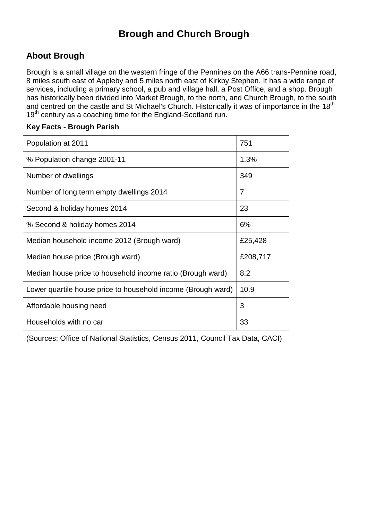## **Brough and Church Brough**

#### **About Brough**

Brough is a small village on the western fringe of the Pennines on the A66 trans-Pennine road, 8 miles south east of Appleby and 5 miles north east of Kirkby Stephen. It has a wide range of services, including a primary school, a pub and village hall, a Post Office, and a shop. Brough has historically been divided into Market Brough, to the north, and Church Brough, to the south and centred on the castle and St Michael's Church. Historically it was of importance in the 18<sup>th-</sup> 19<sup>th</sup> century as a coaching time for the England-Scotland run.

#### **Key Facts - Brough Parish**

| Population at 2011                                           | 751      |
|--------------------------------------------------------------|----------|
| % Population change 2001-11                                  | 1.3%     |
| Number of dwellings                                          | 349      |
| Number of long term empty dwellings 2014                     | 7        |
| Second & holiday homes 2014                                  | 23       |
| % Second & holiday homes 2014                                | 6%       |
| Median household income 2012 (Brough ward)                   | £25,428  |
| Median house price (Brough ward)                             | £208,717 |
| Median house price to household income ratio (Brough ward)   | 8.2      |
| Lower quartile house price to household income (Brough ward) | 10.9     |
| Affordable housing need                                      | 3        |
| Households with no car                                       | 33       |

(Sources: Office of National Statistics, Census 2011, Council Tax Data, CACI)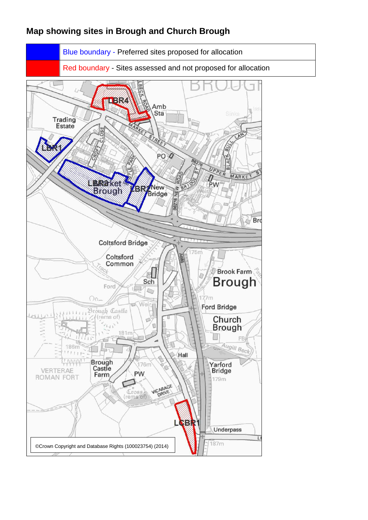#### **Map showing sites in Brough and Church Brough**

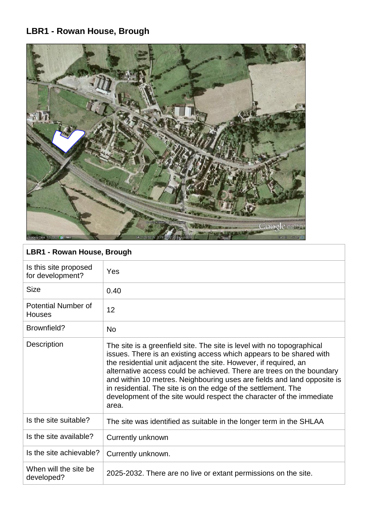## **LBR1 - Rowan House, Brough**



## **LBR1 - Rowan House, Brough**

| Yes                                                                                                                                                                                                                                                                                                                                                                                                                                                                                                                      |
|--------------------------------------------------------------------------------------------------------------------------------------------------------------------------------------------------------------------------------------------------------------------------------------------------------------------------------------------------------------------------------------------------------------------------------------------------------------------------------------------------------------------------|
| 0.40                                                                                                                                                                                                                                                                                                                                                                                                                                                                                                                     |
| 12                                                                                                                                                                                                                                                                                                                                                                                                                                                                                                                       |
| <b>No</b>                                                                                                                                                                                                                                                                                                                                                                                                                                                                                                                |
| The site is a greenfield site. The site is level with no topographical<br>issues. There is an existing access which appears to be shared with<br>the residential unit adjacent the site. However, if required, an<br>alternative access could be achieved. There are trees on the boundary<br>and within 10 metres. Neighbouring uses are fields and land opposite is<br>in residential. The site is on the edge of the settlement. The<br>development of the site would respect the character of the immediate<br>area. |
| The site was identified as suitable in the longer term in the SHLAA                                                                                                                                                                                                                                                                                                                                                                                                                                                      |
| Currently unknown                                                                                                                                                                                                                                                                                                                                                                                                                                                                                                        |
| Currently unknown.                                                                                                                                                                                                                                                                                                                                                                                                                                                                                                       |
| 2025-2032. There are no live or extant permissions on the site.                                                                                                                                                                                                                                                                                                                                                                                                                                                          |
|                                                                                                                                                                                                                                                                                                                                                                                                                                                                                                                          |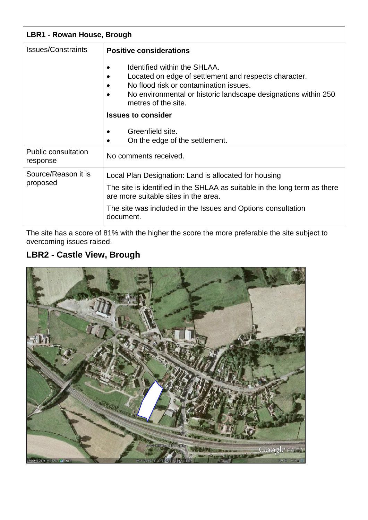| LBR1 - Rowan House, Brough             |                                                                                                                                                                                                                               |
|----------------------------------------|-------------------------------------------------------------------------------------------------------------------------------------------------------------------------------------------------------------------------------|
| <b>Issues/Constraints</b>              | <b>Positive considerations</b>                                                                                                                                                                                                |
|                                        | Identified within the SHLAA.<br>٠<br>Located on edge of settlement and respects character.<br>No flood risk or contamination issues.<br>No environmental or historic landscape designations within 250<br>metres of the site. |
|                                        | <b>Issues to consider</b>                                                                                                                                                                                                     |
|                                        | Greenfield site.<br>$\bullet$<br>On the edge of the settlement.<br>٠                                                                                                                                                          |
| <b>Public consultation</b><br>response | No comments received.                                                                                                                                                                                                         |
| Source/Reason it is<br>proposed        | Local Plan Designation: Land is allocated for housing                                                                                                                                                                         |
|                                        | The site is identified in the SHLAA as suitable in the long term as there<br>are more suitable sites in the area.                                                                                                             |
|                                        | The site was included in the Issues and Options consultation<br>document.                                                                                                                                                     |

The site has a score of 81% with the higher the score the more preferable the site subject to overcoming issues raised.

## **LBR2 - Castle View, Brough**

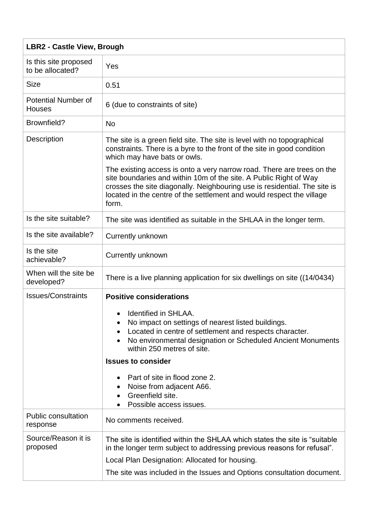| <b>LBR2 - Castle View, Brough</b>           |                                                                                                                                                                                                                                                                                                            |
|---------------------------------------------|------------------------------------------------------------------------------------------------------------------------------------------------------------------------------------------------------------------------------------------------------------------------------------------------------------|
| Is this site proposed<br>to be allocated?   | Yes                                                                                                                                                                                                                                                                                                        |
| <b>Size</b>                                 | 0.51                                                                                                                                                                                                                                                                                                       |
| <b>Potential Number of</b><br><b>Houses</b> | 6 (due to constraints of site)                                                                                                                                                                                                                                                                             |
| Brownfield?                                 | <b>No</b>                                                                                                                                                                                                                                                                                                  |
| Description                                 | The site is a green field site. The site is level with no topographical<br>constraints. There is a byre to the front of the site in good condition<br>which may have bats or owls.                                                                                                                         |
|                                             | The existing access is onto a very narrow road. There are trees on the<br>site boundaries and within 10m of the site. A Public Right of Way<br>crosses the site diagonally. Neighbouring use is residential. The site is<br>located in the centre of the settlement and would respect the village<br>form. |
| Is the site suitable?                       | The site was identified as suitable in the SHLAA in the longer term.                                                                                                                                                                                                                                       |
| Is the site available?                      | Currently unknown                                                                                                                                                                                                                                                                                          |
| Is the site<br>achievable?                  | <b>Currently unknown</b>                                                                                                                                                                                                                                                                                   |
| When will the site be<br>developed?         | There is a live planning application for six dwellings on site ((14/0434)                                                                                                                                                                                                                                  |
| <b>Issues/Constraints</b>                   | <b>Positive considerations</b>                                                                                                                                                                                                                                                                             |
|                                             | Identified in SHLAA.<br>No impact on settings of nearest listed buildings.<br>Located in centre of settlement and respects character.<br>No environmental designation or Scheduled Ancient Monuments<br>within 250 metres of site.                                                                         |
|                                             | <b>Issues to consider</b>                                                                                                                                                                                                                                                                                  |
|                                             | Part of site in flood zone 2.<br>Noise from adjacent A66.<br>Greenfield site.<br>Possible access issues.                                                                                                                                                                                                   |
| <b>Public consultation</b><br>response      | No comments received.                                                                                                                                                                                                                                                                                      |
| Source/Reason it is<br>proposed             | The site is identified within the SHLAA which states the site is "suitable"<br>in the longer term subject to addressing previous reasons for refusal".<br>Local Plan Designation: Allocated for housing.<br>The site was included in the Issues and Options consultation document.                         |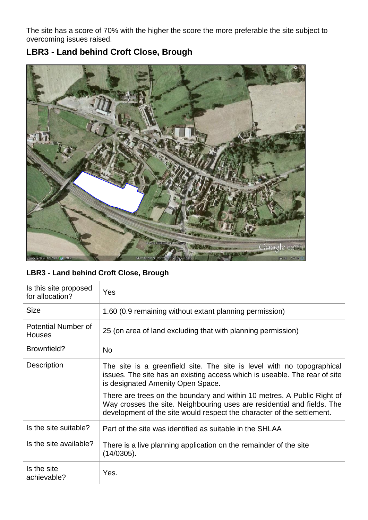The site has a score of 70% with the higher the score the more preferable the site subject to overcoming issues raised.



## **LBR3 - Land behind Croft Close, Brough**

| LBR3 - Land behind Croft Close, Brough      |                                                                                                                                                                                                                              |
|---------------------------------------------|------------------------------------------------------------------------------------------------------------------------------------------------------------------------------------------------------------------------------|
| Is this site proposed<br>for allocation?    | Yes                                                                                                                                                                                                                          |
| <b>Size</b>                                 | 1.60 (0.9 remaining without extant planning permission)                                                                                                                                                                      |
| <b>Potential Number of</b><br><b>Houses</b> | 25 (on area of land excluding that with planning permission)                                                                                                                                                                 |
| Brownfield?                                 | <b>No</b>                                                                                                                                                                                                                    |
| <b>Description</b>                          | The site is a greenfield site. The site is level with no topographical<br>issues. The site has an existing access which is useable. The rear of site<br>is designated Amenity Open Space.                                    |
|                                             | There are trees on the boundary and within 10 metres. A Public Right of<br>Way crosses the site. Neighbouring uses are residential and fields. The<br>development of the site would respect the character of the settlement. |
| Is the site suitable?                       | Part of the site was identified as suitable in the SHLAA                                                                                                                                                                     |
| Is the site available?                      | There is a live planning application on the remainder of the site<br>$(14/0305)$ .                                                                                                                                           |
| Is the site<br>achievable?                  | Yes.                                                                                                                                                                                                                         |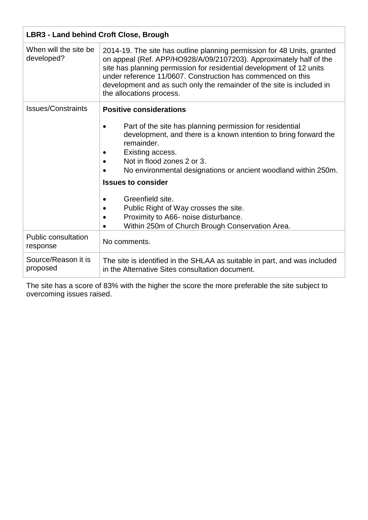| LBR3 - Land behind Croft Close, Brough |                                                                                                                                                                                                                                                                                                                                                                                                                                                                                       |
|----------------------------------------|---------------------------------------------------------------------------------------------------------------------------------------------------------------------------------------------------------------------------------------------------------------------------------------------------------------------------------------------------------------------------------------------------------------------------------------------------------------------------------------|
| When will the site be<br>developed?    | 2014-19. The site has outline planning permission for 48 Units, granted<br>on appeal (Ref. APP/HO928/A/09/2107203). Approximately half of the<br>site has planning permission for residential development of 12 units<br>under reference 11/0607. Construction has commenced on this<br>development and as such only the remainder of the site is included in<br>the allocations process.                                                                                             |
| <b>Issues/Constraints</b>              | <b>Positive considerations</b><br>Part of the site has planning permission for residential<br>development, and there is a known intention to bring forward the<br>remainder.<br>Existing access.<br>Not in flood zones 2 or 3.<br>No environmental designations or ancient woodland within 250m.<br><b>Issues to consider</b><br>Greenfield site.<br>Public Right of Way crosses the site.<br>Proximity to A66- noise disturbance.<br>Within 250m of Church Brough Conservation Area. |
| <b>Public consultation</b><br>response | No comments.                                                                                                                                                                                                                                                                                                                                                                                                                                                                          |
| Source/Reason it is<br>proposed        | The site is identified in the SHLAA as suitable in part, and was included<br>in the Alternative Sites consultation document.                                                                                                                                                                                                                                                                                                                                                          |

The site has a score of 83% with the higher the score the more preferable the site subject to overcoming issues raised.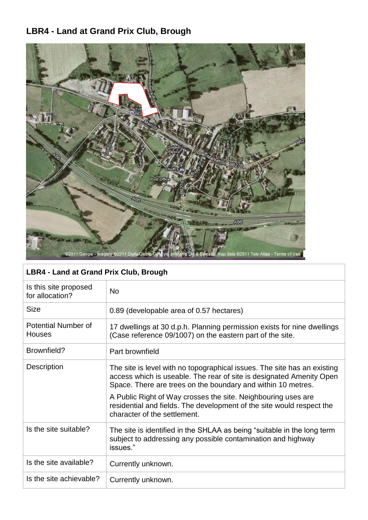# **LBR4 - Land at Grand Prix Club, Brough**



| LBR4 - Land at Grand Prix Club, Brough   |                                                                                                                                                                                                                  |
|------------------------------------------|------------------------------------------------------------------------------------------------------------------------------------------------------------------------------------------------------------------|
| Is this site proposed<br>for allocation? | <b>No</b>                                                                                                                                                                                                        |
| <b>Size</b>                              | 0.89 (developable area of 0.57 hectares)                                                                                                                                                                         |
| Potential Number of<br><b>Houses</b>     | 17 dwellings at 30 d.p.h. Planning permission exists for nine dwellings<br>(Case reference 09/1007) on the eastern part of the site.                                                                             |
| Brownfield?                              | Part brownfield                                                                                                                                                                                                  |
| Description                              | The site is level with no topographical issues. The site has an existing<br>access which is useable. The rear of site is designated Amenity Open<br>Space. There are trees on the boundary and within 10 metres. |
|                                          | A Public Right of Way crosses the site. Neighbouring uses are<br>residential and fields. The development of the site would respect the<br>character of the settlement.                                           |
| Is the site suitable?                    | The site is identified in the SHLAA as being "suitable in the long term<br>subject to addressing any possible contamination and highway<br>issues."                                                              |
| Is the site available?                   | Currently unknown.                                                                                                                                                                                               |
| Is the site achievable?                  | Currently unknown.                                                                                                                                                                                               |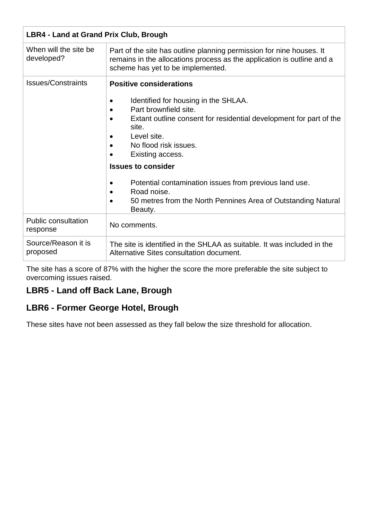| <b>LBR4 - Land at Grand Prix Club, Brough</b> |                                                                                                                                                                                                                                                                                                                                                                                                                                                                     |
|-----------------------------------------------|---------------------------------------------------------------------------------------------------------------------------------------------------------------------------------------------------------------------------------------------------------------------------------------------------------------------------------------------------------------------------------------------------------------------------------------------------------------------|
| When will the site be<br>developed?           | Part of the site has outline planning permission for nine houses. It<br>remains in the allocations process as the application is outline and a<br>scheme has yet to be implemented.                                                                                                                                                                                                                                                                                 |
| <b>Issues/Constraints</b>                     | <b>Positive considerations</b><br>Identified for housing in the SHLAA.<br>Part brownfield site.<br>$\bullet$<br>Extant outline consent for residential development for part of the<br>site.<br>Level site.<br>No flood risk issues.<br>Existing access.<br><b>Issues to consider</b><br>Potential contamination issues from previous land use.<br>$\bullet$<br>Road noise.<br>$\bullet$<br>50 metres from the North Pennines Area of Outstanding Natural<br>Beauty. |
| <b>Public consultation</b><br>response        | No comments.                                                                                                                                                                                                                                                                                                                                                                                                                                                        |
| Source/Reason it is<br>proposed               | The site is identified in the SHLAA as suitable. It was included in the<br>Alternative Sites consultation document.                                                                                                                                                                                                                                                                                                                                                 |

The site has a score of 87% with the higher the score the more preferable the site subject to overcoming issues raised.

#### **LBR5 - Land off Back Lane, Brough**

#### **LBR6 - Former George Hotel, Brough**

These sites have not been assessed as they fall below the size threshold for allocation.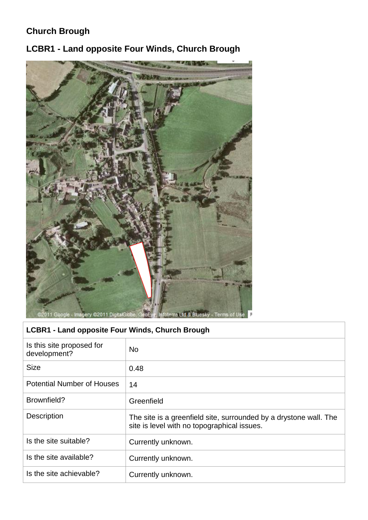## **Church Brough**

**LCBR1 - Land opposite Four Winds, Church Brough**



## **LCBR1 - Land opposite Four Winds, Church Brough**

| Is this site proposed for<br>development? | <b>No</b>                                                                                                        |
|-------------------------------------------|------------------------------------------------------------------------------------------------------------------|
| <b>Size</b>                               | 0.48                                                                                                             |
| <b>Potential Number of Houses</b>         | 14                                                                                                               |
| Brownfield?                               | Greenfield                                                                                                       |
| Description                               | The site is a greenfield site, surrounded by a drystone wall. The<br>site is level with no topographical issues. |
| Is the site suitable?                     | Currently unknown.                                                                                               |
| Is the site available?                    | Currently unknown.                                                                                               |
| Is the site achievable?                   | Currently unknown.                                                                                               |